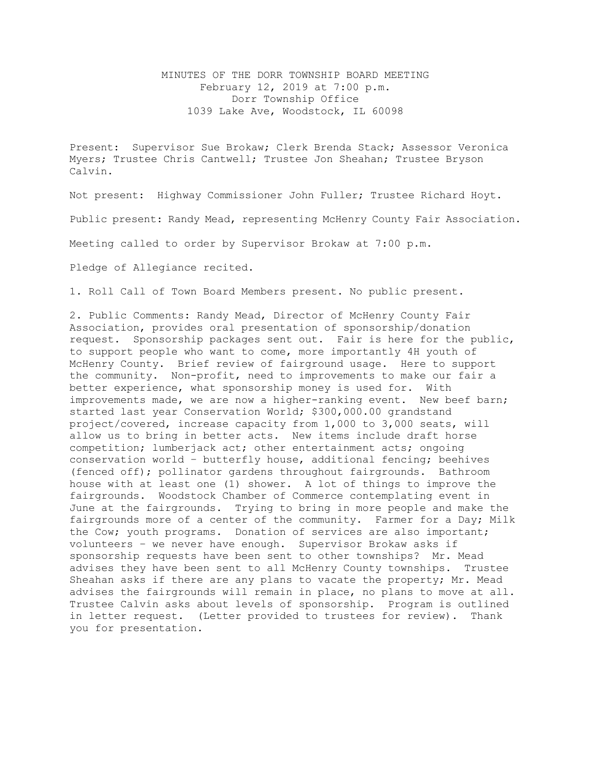## MINUTES OF THE DORR TOWNSHIP BOARD MEETING February 12, 2019 at 7:00 p.m. Dorr Township Office 1039 Lake Ave, Woodstock, IL 60098

Present: Supervisor Sue Brokaw; Clerk Brenda Stack; Assessor Veronica Myers; Trustee Chris Cantwell; Trustee Jon Sheahan; Trustee Bryson Calvin.

Not present: Highway Commissioner John Fuller; Trustee Richard Hoyt.

Public present: Randy Mead, representing McHenry County Fair Association.

Meeting called to order by Supervisor Brokaw at 7:00 p.m.

Pledge of Allegiance recited.

1. Roll Call of Town Board Members present. No public present.

2. Public Comments: Randy Mead, Director of McHenry County Fair Association, provides oral presentation of sponsorship/donation request. Sponsorship packages sent out. Fair is here for the public, to support people who want to come, more importantly 4H youth of McHenry County. Brief review of fairground usage. Here to support the community. Non-profit, need to improvements to make our fair a better experience, what sponsorship money is used for. With improvements made, we are now a higher-ranking event. New beef barn; started last year Conservation World; \$300,000.00 grandstand project/covered, increase capacity from 1,000 to 3,000 seats, will allow us to bring in better acts. New items include draft horse competition; lumberjack act; other entertainment acts; ongoing conservation world – butterfly house, additional fencing; beehives (fenced off); pollinator gardens throughout fairgrounds. Bathroom house with at least one (1) shower. A lot of things to improve the fairgrounds. Woodstock Chamber of Commerce contemplating event in June at the fairgrounds. Trying to bring in more people and make the fairgrounds more of a center of the community. Farmer for a Day; Milk the Cow; youth programs. Donation of services are also important; volunteers – we never have enough. Supervisor Brokaw asks if sponsorship requests have been sent to other townships? Mr. Mead advises they have been sent to all McHenry County townships. Trustee Sheahan asks if there are any plans to vacate the property; Mr. Mead advises the fairgrounds will remain in place, no plans to move at all. Trustee Calvin asks about levels of sponsorship. Program is outlined in letter request. (Letter provided to trustees for review). Thank you for presentation.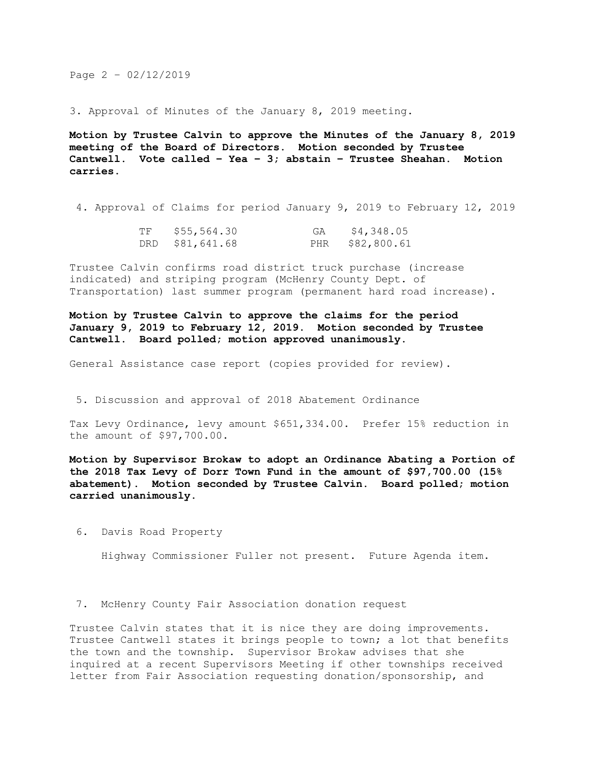Page 2 – 02/12/2019

3. Approval of Minutes of the January 8, 2019 meeting.

**Motion by Trustee Calvin to approve the Minutes of the January 8, 2019 meeting of the Board of Directors. Motion seconded by Trustee Cantwell. Vote called – Yea – 3; abstain – Trustee Sheahan. Motion carries.** 

4. Approval of Claims for period January 9, 2019 to February 12, 2019

| TF | \$55,564.30     | GA | \$4,348.05      |
|----|-----------------|----|-----------------|
|    | DRD \$81,641.68 |    | PHR \$82,800.61 |

Trustee Calvin confirms road district truck purchase (increase indicated) and striping program (McHenry County Dept. of Transportation) last summer program (permanent hard road increase).

**Motion by Trustee Calvin to approve the claims for the period January 9, 2019 to February 12, 2019. Motion seconded by Trustee Cantwell. Board polled; motion approved unanimously.**

General Assistance case report (copies provided for review).

5. Discussion and approval of 2018 Abatement Ordinance

Tax Levy Ordinance, levy amount \$651,334.00. Prefer 15% reduction in the amount of \$97,700.00.

**Motion by Supervisor Brokaw to adopt an Ordinance Abating a Portion of the 2018 Tax Levy of Dorr Town Fund in the amount of \$97,700.00 (15% abatement). Motion seconded by Trustee Calvin. Board polled; motion carried unanimously.**

6. Davis Road Property

Highway Commissioner Fuller not present. Future Agenda item.

7. McHenry County Fair Association donation request

Trustee Calvin states that it is nice they are doing improvements. Trustee Cantwell states it brings people to town; a lot that benefits the town and the township. Supervisor Brokaw advises that she inquired at a recent Supervisors Meeting if other townships received letter from Fair Association requesting donation/sponsorship, and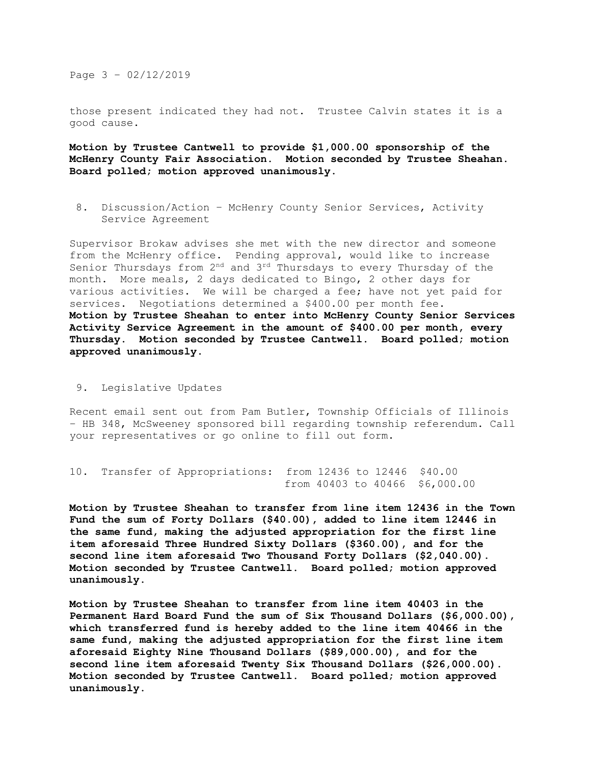Page 3 – 02/12/2019

those present indicated they had not. Trustee Calvin states it is a good cause.

**Motion by Trustee Cantwell to provide \$1,000.00 sponsorship of the McHenry County Fair Association. Motion seconded by Trustee Sheahan. Board polled; motion approved unanimously.**

8. Discussion/Action – McHenry County Senior Services, Activity Service Agreement

Supervisor Brokaw advises she met with the new director and someone from the McHenry office. Pending approval, would like to increase Senior Thursdays from 2<sup>nd</sup> and 3<sup>rd</sup> Thursdays to every Thursday of the month. More meals, 2 days dedicated to Bingo, 2 other days for various activities. We will be charged a fee; have not yet paid for services. Negotiations determined a \$400.00 per month fee. **Motion by Trustee Sheahan to enter into McHenry County Senior Services Activity Service Agreement in the amount of \$400.00 per month, every Thursday. Motion seconded by Trustee Cantwell. Board polled; motion approved unanimously.**

9. Legislative Updates

Recent email sent out from Pam Butler, Township Officials of Illinois – HB 348, McSweeney sponsored bill regarding township referendum. Call your representatives or go online to fill out form.

```
10. Transfer of Appropriations: from 12436 to 12446 $40.00
                    from 40403 to 40466 $6,000.00
```
**Motion by Trustee Sheahan to transfer from line item 12436 in the Town Fund the sum of Forty Dollars (\$40.00), added to line item 12446 in the same fund, making the adjusted appropriation for the first line item aforesaid Three Hundred Sixty Dollars (\$360.00), and for the second line item aforesaid Two Thousand Forty Dollars (\$2,040.00). Motion seconded by Trustee Cantwell. Board polled; motion approved unanimously.**

**Motion by Trustee Sheahan to transfer from line item 40403 in the Permanent Hard Board Fund the sum of Six Thousand Dollars (\$6,000.00), which transferred fund is hereby added to the line item 40466 in the same fund, making the adjusted appropriation for the first line item aforesaid Eighty Nine Thousand Dollars (\$89,000.00), and for the second line item aforesaid Twenty Six Thousand Dollars (\$26,000.00). Motion seconded by Trustee Cantwell. Board polled; motion approved unanimously.**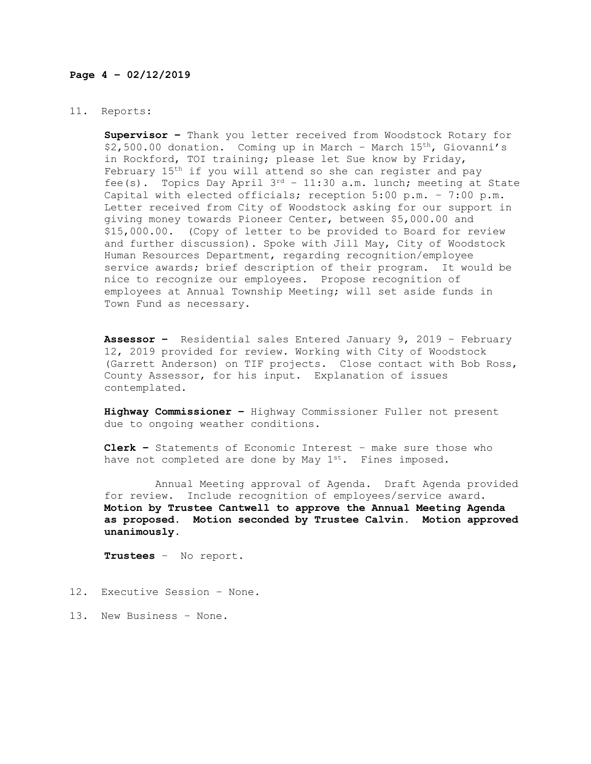## **Page 4 – 02/12/2019**

## 11. Reports:

**Supervisor –** Thank you letter received from Woodstock Rotary for  $$2,500.00$  donation. Coming up in March - March  $15<sup>th</sup>$ , Giovanni's in Rockford, TOI training; please let Sue know by Friday, February 15<sup>th</sup> if you will attend so she can register and pay fee(s). Topics Day April 3rd – 11:30 a.m. lunch; meeting at State Capital with elected officials; reception 5:00 p.m. – 7:00 p.m. Letter received from City of Woodstock asking for our support in giving money towards Pioneer Center, between \$5,000.00 and \$15,000.00. (Copy of letter to be provided to Board for review and further discussion). Spoke with Jill May, City of Woodstock Human Resources Department, regarding recognition/employee service awards; brief description of their program. It would be nice to recognize our employees. Propose recognition of employees at Annual Township Meeting; will set aside funds in Town Fund as necessary.

**Assessor –** Residential sales Entered January 9, 2019 – February 12, 2019 provided for review. Working with City of Woodstock (Garrett Anderson) on TIF projects. Close contact with Bob Ross, County Assessor, for his input. Explanation of issues contemplated.

**Highway Commissioner –** Highway Commissioner Fuller not present due to ongoing weather conditions.

**Clerk –** Statements of Economic Interest – make sure those who have not completed are done by May 1st. Fines imposed.

 Annual Meeting approval of Agenda. Draft Agenda provided for review. Include recognition of employees/service award. **Motion by Trustee Cantwell to approve the Annual Meeting Agenda as proposed. Motion seconded by Trustee Calvin. Motion approved unanimously.**

**Trustees** – No report.

- 12. Executive Session None.
- 13. New Business None.